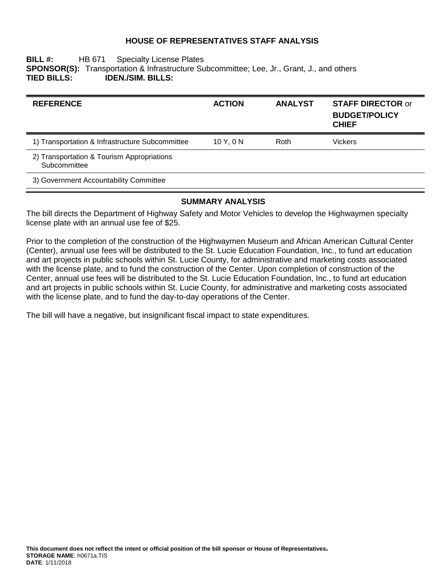## **HOUSE OF REPRESENTATIVES STAFF ANALYSIS**

#### **BILL #:** HB 671 Specialty License Plates **SPONSOR(S):** Transportation & Infrastructure Subcommittee; Lee, Jr., Grant, J., and others **TIED BILLS: IDEN./SIM. BILLS:**

| <b>REFERENCE</b>                                           | <b>ACTION</b> | <b>ANALYST</b> | <b>STAFF DIRECTOR or</b><br><b>BUDGET/POLICY</b><br><b>CHIEF</b> |
|------------------------------------------------------------|---------------|----------------|------------------------------------------------------------------|
| 1) Transportation & Infrastructure Subcommittee            | 10Y.0N        | Roth           | Vickers                                                          |
| 2) Transportation & Tourism Appropriations<br>Subcommittee |               |                |                                                                  |
| 3) Government Accountability Committee                     |               |                |                                                                  |

### **SUMMARY ANALYSIS**

The bill directs the Department of Highway Safety and Motor Vehicles to develop the Highwaymen specialty license plate with an annual use fee of \$25.

Prior to the completion of the construction of the Highwaymen Museum and African American Cultural Center (Center), annual use fees will be distributed to the St. Lucie Education Foundation, Inc., to fund art education and art projects in public schools within St. Lucie County, for administrative and marketing costs associated with the license plate, and to fund the construction of the Center. Upon completion of construction of the Center, annual use fees will be distributed to the St. Lucie Education Foundation, Inc., to fund art education and art projects in public schools within St. Lucie County, for administrative and marketing costs associated with the license plate, and to fund the day-to-day operations of the Center.

The bill will have a negative, but insignificant fiscal impact to state expenditures.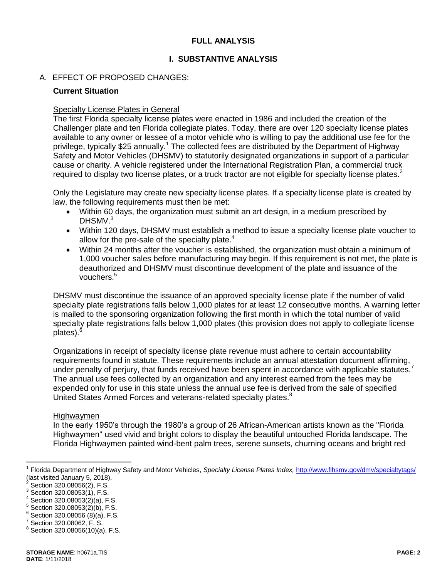## **FULL ANALYSIS**

## **I. SUBSTANTIVE ANALYSIS**

## A. EFFECT OF PROPOSED CHANGES:

#### **Current Situation**

#### Specialty License Plates in General

The first Florida specialty license plates were enacted in 1986 and included the creation of the Challenger plate and ten Florida collegiate plates. Today, there are over 120 specialty license plates available to any owner or lessee of a motor vehicle who is willing to pay the additional use fee for the privilege, typically \$25 annually.<sup>1</sup> The collected fees are distributed by the Department of Highway Safety and Motor Vehicles (DHSMV) to statutorily designated organizations in support of a particular cause or charity. A vehicle registered under the International Registration Plan, a commercial truck required to display two license plates, or a truck tractor are not eligible for specialty license plates.<sup>2</sup>

Only the Legislature may create new specialty license plates. If a specialty license plate is created by law, the following requirements must then be met:

- Within 60 days, the organization must submit an art design, in a medium prescribed by DHSMV.<sup>3</sup>
- Within 120 days, DHSMV must establish a method to issue a specialty license plate voucher to allow for the pre-sale of the specialty plate. $4$
- Within 24 months after the voucher is established, the organization must obtain a minimum of 1,000 voucher sales before manufacturing may begin. If this requirement is not met, the plate is deauthorized and DHSMV must discontinue development of the plate and issuance of the vouchers.<sup>5</sup>

DHSMV must discontinue the issuance of an approved specialty license plate if the number of valid specialty plate registrations falls below 1,000 plates for at least 12 consecutive months. A warning letter is mailed to the sponsoring organization following the first month in which the total number of valid specialty plate registrations falls below 1,000 plates (this provision does not apply to collegiate license plates). $<sup>6</sup>$ </sup>

Organizations in receipt of specialty license plate revenue must adhere to certain accountability requirements found in statute. These requirements include an annual attestation document affirming, under penalty of perjury, that funds received have been spent in accordance with applicable statutes. The annual use fees collected by an organization and any interest earned from the fees may be expended only for use in this state unless the annual use fee is derived from the sale of specified United States Armed Forces and veterans-related specialty plates.<sup>8</sup>

#### Highwaymen

In the early 1950's through the 1980's a group of 26 African-American artists known as the "Florida Highwaymen" used vivid and bright colors to display the beautiful untouched Florida landscape. The Florida Highwaymen painted wind-bent palm trees, serene sunsets, churning oceans and bright red

 $\overline{a}$ 

<sup>&</sup>lt;sup>1</sup> Florida Department of Highway Safety and Motor Vehicles, *Specialty License Plates Index,* <http://www.flhsmv.gov/dmv/specialtytags/> (last visited January 5, 2018).

<sup>2</sup> Section 320.08056(2), F.S.

 $3$  Section 320.08053(1), F.S.

 $4$  Section 320.08053(2)(a), F.S.

 $5$  Section 320.08053(2)(b), F.S.

 $6$  Section 320.08056 (8)(a), F.S.

<sup>7</sup> Section 320.08062, F. S.

 $8$  Section 320.08056(10)(a), F.S.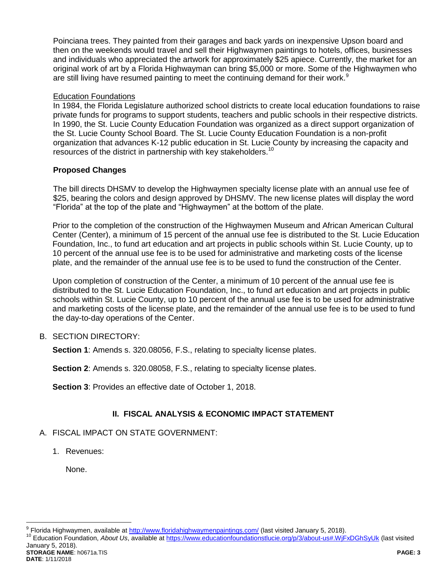Poinciana trees. They painted from their garages and back yards on inexpensive Upson board and then on the weekends would travel and sell their Highwaymen paintings to hotels, offices, businesses and individuals who appreciated the artwork for approximately \$25 apiece. Currently, the market for an original work of art by a Florida Highwayman can bring \$5,000 or more. Some of the Highwaymen who are still living have resumed painting to meet the continuing demand for their work. $9$ 

## Education Foundations

In 1984, the Florida Legislature authorized school districts to create local education foundations to raise private funds for programs to support students, teachers and public schools in their respective districts. In 1990, the St. Lucie County Education Foundation was organized as a direct support organization of the St. Lucie County School Board. The St. Lucie County Education Foundation is a non-profit organization that advances K-12 public education in St. Lucie County by increasing the capacity and resources of the district in partnership with key stakeholders.<sup>10</sup>

## **Proposed Changes**

The bill directs DHSMV to develop the Highwaymen specialty license plate with an annual use fee of \$25, bearing the colors and design approved by DHSMV. The new license plates will display the word "Florida" at the top of the plate and "Highwaymen" at the bottom of the plate.

Prior to the completion of the construction of the Highwaymen Museum and African American Cultural Center (Center), a minimum of 15 percent of the annual use fee is distributed to the St. Lucie Education Foundation, Inc., to fund art education and art projects in public schools within St. Lucie County, up to 10 percent of the annual use fee is to be used for administrative and marketing costs of the license plate, and the remainder of the annual use fee is to be used to fund the construction of the Center.

Upon completion of construction of the Center, a minimum of 10 percent of the annual use fee is distributed to the St. Lucie Education Foundation, Inc., to fund art education and art projects in public schools within St. Lucie County, up to 10 percent of the annual use fee is to be used for administrative and marketing costs of the license plate, and the remainder of the annual use fee is to be used to fund the day-to-day operations of the Center.

## B. SECTION DIRECTORY:

**Section 1:** Amends s. 320.08056, F.S., relating to specialty license plates.

**Section 2**: Amends s. 320.08058, F.S., relating to specialty license plates.

**Section 3**: Provides an effective date of October 1, 2018.

## **II. FISCAL ANALYSIS & ECONOMIC IMPACT STATEMENT**

## A. FISCAL IMPACT ON STATE GOVERNMENT:

1. Revenues:

None.

**STORAGE NAME**: h0671a.TIS **PAGE: 3 DATE**: 1/11/2018

<sup>&</sup>lt;u>。</u><br>Prlorida Highwaymen, available at <u>http://www.floridahighwaymenpaintings.com/</u> (last visited January 5, 2018).

<sup>10</sup> Education Foundation, *About Us*, available at<https://www.educationfoundationstlucie.org/p/3/about-us#.WjFxDGhSyUk> (last visited January 5, 2018).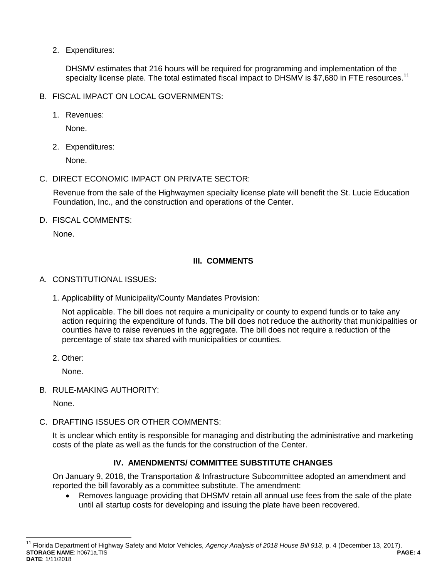2. Expenditures:

DHSMV estimates that 216 hours will be required for programming and implementation of the specialty license plate. The total estimated fiscal impact to DHSMV is \$7,680 in FTE resources.<sup>11</sup>

- B. FISCAL IMPACT ON LOCAL GOVERNMENTS:
	- 1. Revenues:

None.

2. Expenditures:

None.

C. DIRECT ECONOMIC IMPACT ON PRIVATE SECTOR:

Revenue from the sale of the Highwaymen specialty license plate will benefit the St. Lucie Education Foundation, Inc., and the construction and operations of the Center.

D. FISCAL COMMENTS:

None.

## **III. COMMENTS**

- A. CONSTITUTIONAL ISSUES:
	- 1. Applicability of Municipality/County Mandates Provision:

Not applicable. The bill does not require a municipality or county to expend funds or to take any action requiring the expenditure of funds. The bill does not reduce the authority that municipalities or counties have to raise revenues in the aggregate. The bill does not require a reduction of the percentage of state tax shared with municipalities or counties.

2. Other:

None.

B. RULE-MAKING AUTHORITY:

None.

 $\overline{a}$ 

C. DRAFTING ISSUES OR OTHER COMMENTS:

It is unclear which entity is responsible for managing and distributing the administrative and marketing costs of the plate as well as the funds for the construction of the Center.

# **IV. AMENDMENTS/ COMMITTEE SUBSTITUTE CHANGES**

On January 9, 2018, the Transportation & Infrastructure Subcommittee adopted an amendment and reported the bill favorably as a committee substitute. The amendment:

 Removes language providing that DHSMV retain all annual use fees from the sale of the plate until all startup costs for developing and issuing the plate have been recovered.

**STORAGE NAME**: h0671a.TIS **PAGE: 4 DATE**: 1/11/2018 <sup>11</sup> Florida Department of Highway Safety and Motor Vehicles, Agency Analysis of 2018 House Bill 913, p. 4 (December 13, 2017).